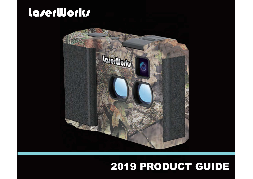# laserWorks



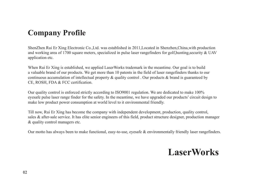### **Company Profile**

ShenZhen Rui Er Xing Electronic Co.,Ltd. was established in 2011,Located in Shenzhen,China,with production and working area of 1700 square meters, specialized in pulse laser rangefinders for golf,hunting,security & UAV application etc.

When Rui Er Xing is established, we applied LaserWorks trademark in the meantime. Our goal is to build a valuable brand of our products. We get more than 10 patents in the field of laser rangefinders thanks to our continuous accumulation of intellectual property & quality control . Our products & brand is guaranteed by CE, ROSH, FDA & FCC certification.

Our quality control is enforced strictly according to ISO9001 regulation. We are dedicated to make 100% eyesafe pulse laser range finder for the safety. In the meantime, we have upgraded our products' circuit design to make low product power consumption at world level to it environmental friendly.

Till now, Rui Er Xing has become the company with independent development, production, quality control, sales & after-sale service. It has elite senior engineers of this field, product structure designer, production manager & quality control managers etc.

Our motto has always been to make functional, easy-to-use, eyesafe & environmentally friendly laser rangefinders.

### **LaserWorks**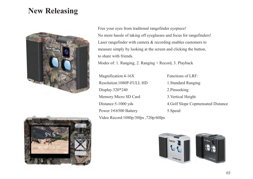### **New Releasing**



Free your eyes from traditonal rangefinder eyepiece! No more hassle of taking off eyeglasses and focus for rangefinders! Laser rangefinder with camera & recording enables customers to measure simply by looking at the screen and clicking the button, to share with friends.

Modes of: 1. Ranging, 2. Ranging + Record, 3. Playback

Magnification: 4-16X Resolution 1080P-FULL HD Display:320\*240 Memory: Micro SD Card Distance: 5-1000 yds Power:1\*16500 Battery Video Record:1080p/30fps, 720p/60fps

Functions of LRF: 1.Standard Ranging 2.Pinseeking 3.Vertical Height 4.Golf Slope Copmensated Distance 5.Speed



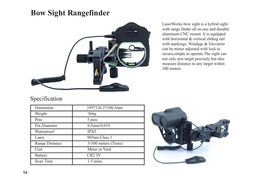### **Bow Sight Rangefinder**



LaserWorks bow sight is a hybrid sight with range finder all-in-one and durable aluminum CNC mount. It is equipped with horizontal & vertical sliding rail with markings. Windage & Elevation can be minor adjusted with lock to secure,simple to operate.The sight can not only aim target precisely but also measure distance to any target within 300 meters.

#### Specification

| Dimension             | 195*126.2*100.2mm    |
|-----------------------|----------------------|
| Weight                | 366g                 |
| Pins                  | 5 pins               |
| Pin Diameter          | $0.5$ mm $/0.019$    |
| Waterproof            | <b>IPX5</b>          |
| Laser                 | 905nm Class 1        |
| <b>Range Distance</b> | 5-300 meters (Trees) |
| Unit                  | Meter or Yard        |
| <b>Battery</b>        | CR <sub>2</sub> 3V   |
| Scan Time             | $1-5$ mins           |

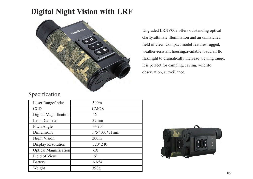### **Digital Night Vision with LRF**



Ungraded LRNV009 offers outstanding optical clarity,ultimate illumination and an unmatched field of view. Compact model features rugged, weather-resistant housing,available toadd an IR flashlight to dramatically increase viewing range. It is perfect for camping, caving, wildlife observation, surveillance.

#### Specification

| Laser Rangefinder            | 500m            |
|------------------------------|-----------------|
| <b>CCD</b>                   | <b>CMOS</b>     |
| Digital Magnification        | 4X              |
| Lens Diameter                | 32mm            |
| Pitch Angle                  | $+/-90^{\circ}$ |
| Dimensions                   | 175*100*51mm    |
| Night Vision                 | 200m            |
| <b>Display Resolution</b>    | 320*240         |
| <b>Optical Magnification</b> | 6X              |
| Field of View                | $6^\circ$       |
| <b>Battery</b>               | $AA*4$          |
| Weight                       | 398g            |

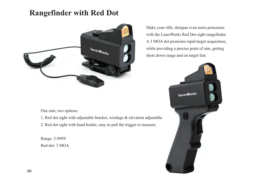### **Rangefinder with Red Dot**



Make your rifle, shotgun even more poisonous with the LaserWorks Red Dot sight rangefinder. A 3 MOA dot promotes rapid target acquisition, while providing a precise point of aim, getting shots down range and on target fast.



One unit, two options:

- 1. Red dot sight with adjustable bracket, windage & elevation adjustable
- 2. Red dot sight with hand holder, easy to pull the trigger to measure

Range: 5-999Y Red dot: 3 MOA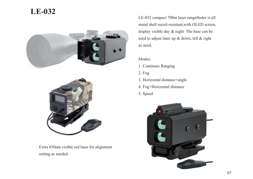### **LE-032**





Extra 650nm visible red laser for alignment setting as needed.

LE-032 compact 700m laser rangefinder is all metal shell recoil-resistant,with OLED screen, display visible day & night The base can be used to adjust laser up & down, left & right as need.

Modes:

- 1. Continues Ranging
- 2. Fog
- 3. Horizontal distance+angle
- 4. Fog+Horizontal distance
- 5. Speed

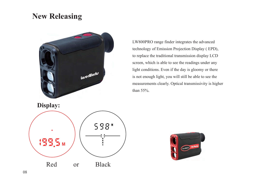### **New Releasing**



LW800PRO range finder integrates the advanced technology of Emission Projection Display ( EPD), to replace the traditional transmission display LCD screen, which is able to see the readings under any light conditions. Even if the day is gloomy or there is not enough light, you will still be able to see the measurements clearly. Optical transmissivity is higher than 55%.

**Display:**  598\* 199,5 M Red or Black

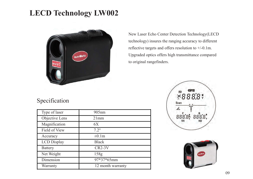### **LECD Technology LW002**



Specification

| Type of laser      | $905$ nm          |
|--------------------|-------------------|
| Objective Lens     | 21mm              |
| Magnification      | 6X                |
| Field of View      | $7.2^\circ$       |
| Accuracy           | $\pm 0.1$ m       |
| <b>LCD</b> Display | <b>Black</b>      |
| <b>Battery</b>     | $CR2-3V$          |
| Net Weight         | 158g              |
| Dimension          | 97*37*65mm        |
| Warranty           | 12 month warranty |

New Laser Echo Center Detection Technology(LECD technology) insures the ranging accuracy to different reflective targets and offers resolution to +/-0.1m. Upgraded optics offers high transmittance compared to original rangefinders.



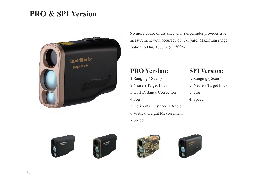### **PRO & SPI Version**



No more doubt of distance. Our rangefinder provides true measurement with accuracy of +/-1 yard. Maximum range option: 600m, 1000m & 1500m.

#### **PRO Version: SPI Version:**

1. Ranging ( Scan ) 1. Ranging ( Scan ) 2.Nearest Target Lock 2. Nearest Target Lock 3.Golf Distance Correction 3. Fog 4.Fog 4. Speed 5.Horizontal Distance + Angle 6.Vertical Height Measurement 7.Speed

- 
- 
- 
- 







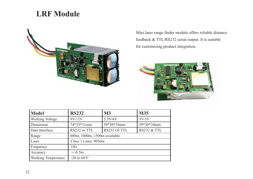### **LRF Module**



Mini laser range finder module offers reliable distance feedback & TTL/RS232 serial output. It is suitable for customizing product integration.



| <b>Model</b>               | <b>RS232</b>                  | <b>M3</b>    | <b>M35</b>             |  |  |
|----------------------------|-------------------------------|--------------|------------------------|--|--|
| <b>Working Voltage</b>     | 9V-12V                        | 5.5V-6V      | $3V-5V$                |  |  |
| Dimension                  | 74*33*31mm                    | 59*30*34mm   | 59*30*34mm             |  |  |
| Data Interface             | RS232 or TTL                  | RS232 Or TTL | <b>RS232 &amp; TTL</b> |  |  |
| Range                      | 600m, 1000m, 1500m available. |              |                        |  |  |
| Laser                      | Class 1 Laser, 905nm          |              |                        |  |  |
| Frequency                  | 1Hz                           |              |                        |  |  |
| Accuracy                   | $+/-0.5m$                     |              |                        |  |  |
| <b>Working Temperature</b> | -20 to $60^{\circ}$ C         |              |                        |  |  |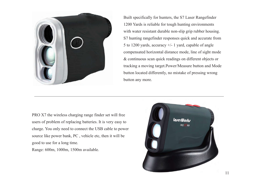

Built specifically for hunters, the S7 Laser Rangefinder 1200 Yards is reliable for tough hunting environments with water resistant durable non-slip grip rubber housing. S7 hunting rangefinder responses quick and accurate from 5 to 1200 yards, accuracy +/- 1 yard, capable of angle compensated horizontal distance mode, line of sight mode & continuous scan quick readings on different objects or tracking a moving target.Power/Measure button and Mode button located differently, no mistake of pressing wrong button any more.

PRO X7 the wireless charging range finder set will free users of problem of replacing batteries. It is very easy to charge. You only need to connect the USB cable to power source like power bank, PC , vehicle etc, then it will be good to use for a long time. Range: 600m, 1000m, 1500m available.

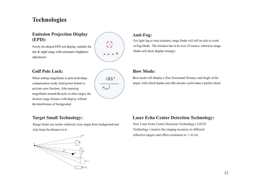### **Technologies**

#### **Emission Projection Display (EPD):**

Newly developed EPD red display, suitable for day & night usage with automatic brightness adjustment

#### **Golf Pole Lock:**

When setting rangefinder in pole lock/slope compensation mode, hold power button to activate scan function. After panning rangefinder around the pole or other target, the shortest range distance will display without the interference of background.



 $\odot$ 

 $-$  M

#### **Anti-Fog:**

For light fog or mist situation, range finder will still be able to work in Fog Mode. The distance has to be over 25 meters, otherwise range finder will show display wrongly.

#### **Bow Mode:**

Bow mode will display a True Horizontal Distance and Angle of the target, with which hunter and rifle shooter could make a perfect shoot.

#### **Target Small Technology:**

Range finder can isolate relatively close target from background and only keep the distance to it.



#### **Laser Echo Center Detection Technology:**

New Laser Echo Center Detection Technology ( LECD Technology ) insures the ranging accuracy to different reflective targets and offers resolution to +/-0.1m.